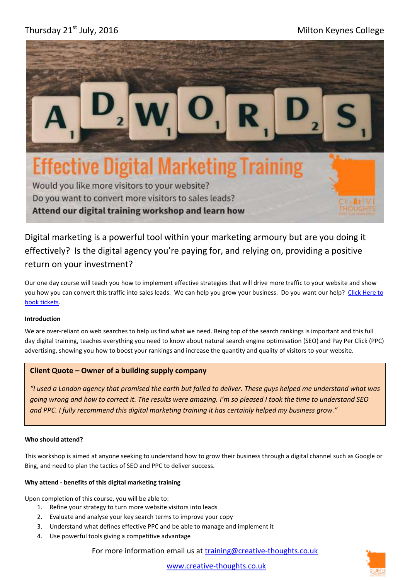# Thursday 21<sup>st</sup> July, 2016 **Milton Keynes College**



Would you like more visitors to your website? Do you want to convert more visitors to sales leads? Attend our digital training workshop and learn how

Digital marketing is a powerful tool within your marketing armoury but are you doing it effectively? Is the digital agency you're paying for, and relying on, providing a positive return on your investment?

Our one day course will teach you how to implement effective strategies that will drive more traffic to your website and show you how you can convert this traffic into sales leads. We can help you grow your business. Do you want our help? Click Here to [book tickets.](https://digital-marketing-training-mk.eventbrite.co.uk/)

## **Introduction**

We are over-reliant on web searches to help us find what we need. Being top of the search rankings is important and this full day digital training, teaches everything you need to know about natural search engine optimisation (SEO) and Pay Per Click (PPC) advertising, showing you how to boost your rankings and increase the quantity and quality of visitors to your website.

## **Client Quote – Owner of a building supply company**

*"I used a London agency that promised the earth but failed to deliver. These guys helped me understand what was going wrong and how to correct it. The results were amazing. I'm so pleased I took the time to understand SEO and PPC. I fully recommend this digital marketing training it has certainly helped my business grow."*

#### **Who should attend?**

This workshop is aimed at anyone seeking to understand how to grow their business through a digital channel such as Google or Bing, and need to plan the tactics of SEO and PPC to deliver success.

## **Why attend - benefits of this digital marketing training**

Upon completion of this course, you will be able to:

- 1. Refine your strategy to turn more website visitors into leads
- 2. Evaluate and analyse your key search terms to improve your copy
- 3. Understand what defines effective PPC and be able to manage and implement it
- 4. Use powerful tools giving a competitive advantage

For more information email us at [training@creative-thoughts.co.uk](mailto:training@creative-thoughts.co.uk)



[www.creative-thoughts.co.uk](http://www.creative-thoughts.co.uk/)